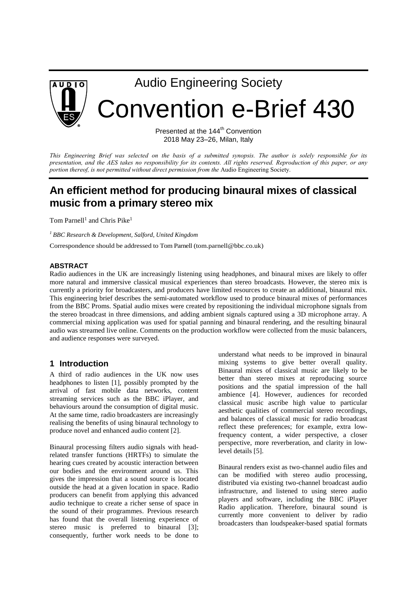

# Audio Engineering Society

Convention e-Brief 430

Presented at the 144<sup>th</sup> Convention 2018 May 23–26, Milan, Italy

This Engineering Brief was selected on the basis of a submitted synopsis. The author is solely responsible for its presentation, and the AES takes no responsibility for its contents. All rights reserved. Reproduction of this paper, or any *portion thereof, is not permitted without direct permission from the* Audio Engineering Society.

# **An efficient method for producing binaural mixes of classical music from a primary stereo mix**

Tom Parnell<sup>1</sup> and Chris Pike<sup>1</sup>

*<sup>1</sup> BBC Research & Development, Salford, United Kingdom* 

Correspondence should be addressed to Tom Parnell (tom.parnell@bbc.co.uk)

#### **ABSTRACT**

Radio audiences in the UK are increasingly listening using headphones, and binaural mixes are likely to offer more natural and immersive classical musical experiences than stereo broadcasts. However, the stereo mix is currently a priority for broadcasters, and producers have limited resources to create an additional, binaural mix. This engineering brief describes the semi-automated workflow used to produce binaural mixes of performances from the BBC Proms. Spatial audio mixes were created by repositioning the individual microphone signals from the stereo broadcast in three dimensions, and adding ambient signals captured using a 3D microphone array. A commercial mixing application was used for spatial panning and binaural rendering, and the resulting binaural audio was streamed live online. Comments on the production workflow were collected from the music balancers, and audience responses were surveyed.

#### **1 Introduction**

A third of radio audiences in the UK now uses headphones to listen [1], possibly prompted by the arrival of fast mobile data networks, content streaming services such as the BBC iPlayer, and behaviours around the consumption of digital music. At the same time, radio broadcasters are increasingly realising the benefits of using binaural technology to produce novel and enhanced audio content [2].

Binaural processing filters audio signals with headrelated transfer functions (HRTFs) to simulate the hearing cues created by acoustic interaction between our bodies and the environment around us. This gives the impression that a sound source is located outside the head at a given location in space. Radio producers can benefit from applying this advanced audio technique to create a richer sense of space in the sound of their programmes. Previous research has found that the overall listening experience of stereo music is preferred to binaural [3]; consequently, further work needs to be done to understand what needs to be improved in binaural mixing systems to give better overall quality. Binaural mixes of classical music are likely to be better than stereo mixes at reproducing source positions and the spatial impression of the hall ambience [4]. However, audiences for recorded classical music ascribe high value to particular aesthetic qualities of commercial stereo recordings, and balances of classical music for radio broadcast reflect these preferences; for example, extra lowfrequency content, a wider perspective, a closer perspective, more reverberation, and clarity in lowlevel details [5].

Binaural renders exist as two-channel audio files and can be modified with stereo audio processing, distributed via existing two-channel broadcast audio infrastructure, and listened to using stereo audio players and software, including the BBC iPlayer Radio application. Therefore, binaural sound is currently more convenient to deliver by radio broadcasters than loudspeaker-based spatial formats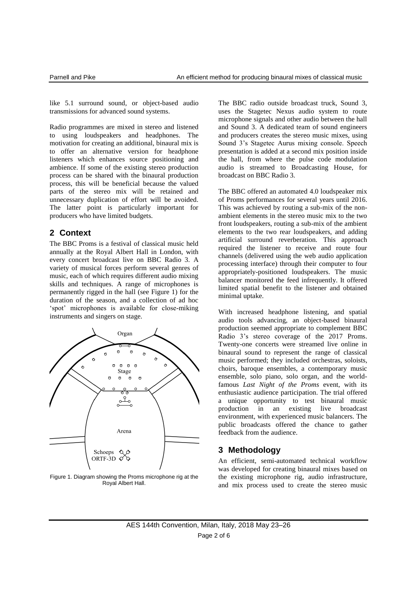like 5.1 surround sound, or object-based audio transmissions for advanced sound systems.

Radio programmes are mixed in stereo and listened to using loudspeakers and headphones. The motivation for creating an additional, binaural mix is to offer an alternative version for headphone listeners which enhances source positioning and ambience. If some of the existing stereo production process can be shared with the binaural production process, this will be beneficial because the valued parts of the stereo mix will be retained and unnecessary duplication of effort will be avoided. The latter point is particularly important for producers who have limited budgets.

#### **2 Context**

The BBC Proms is a festival of classical music held annually at the Royal Albert Hall in London, with every concert broadcast live on BBC Radio 3. A variety of musical forces perform several genres of music, each of which requires different audio mixing skills and techniques. A range of microphones is permanently rigged in the hall (see Figure 1) for the duration of the season, and a collection of ad hoc 'spot' microphones is available for close-miking instruments and singers on stage.



Figure 1. Diagram showing the Proms microphone rig at the Royal Albert Hall.

The BBC radio outside broadcast truck, Sound 3, uses the Stagetec Nexus audio system to route microphone signals and other audio between the hall and Sound 3. A dedicated team of sound engineers and producers creates the stereo music mixes, using Sound 3's Stagetec Aurus mixing console. Speech presentation is added at a second mix position inside the hall, from where the pulse code modulation audio is streamed to Broadcasting House, for broadcast on BBC Radio 3.

The BBC offered an automated 4.0 loudspeaker mix of Proms performances for several years until 2016. This was achieved by routing a sub-mix of the nonambient elements in the stereo music mix to the two front loudspeakers, routing a sub-mix of the ambient elements to the two rear loudspeakers, and adding artificial surround reverberation. This approach required the listener to receive and route four channels (delivered using the web audio application processing interface) through their computer to four appropriately-positioned loudspeakers. The music balancer monitored the feed infrequently. It offered limited spatial benefit to the listener and obtained minimal uptake.

With increased headphone listening, and spatial audio tools advancing, an object-based binaural production seemed appropriate to complement BBC Radio 3's stereo coverage of the 2017 Proms. Twenty-one concerts were streamed live online in binaural sound to represent the range of classical music performed; they included orchestras, soloists, choirs, baroque ensembles, a contemporary music ensemble, solo piano, solo organ, and the worldfamous *Last Night of the Proms* event, with its enthusiastic audience participation. The trial offered a unique opportunity to test binaural music production in an existing live broadcast environment, with experienced music balancers. The public broadcasts offered the chance to gather feedback from the audience.

## **3 Methodology**

An efficient, semi-automated technical workflow was developed for creating binaural mixes based on the existing microphone rig, audio infrastructure, and mix process used to create the stereo music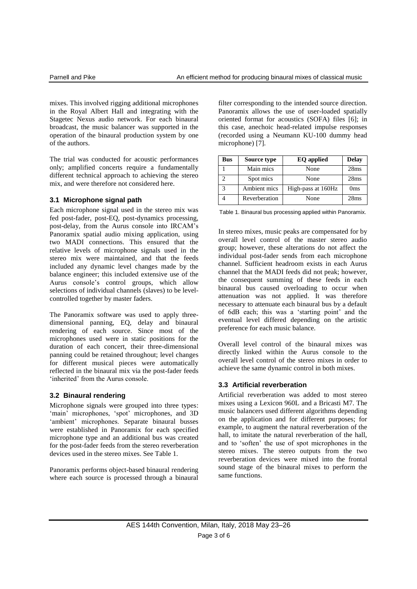mixes. This involved rigging additional microphones in the Royal Albert Hall and integrating with the Stagetec Nexus audio network. For each binaural broadcast, the music balancer was supported in the operation of the binaural production system by one of the authors.

The trial was conducted for acoustic performances only; amplified concerts require a fundamentally different technical approach to achieving the stereo mix, and were therefore not considered here.

#### **3.1 Microphone signal path**

Each microphone signal used in the stereo mix was fed post-fader, post-EQ, post-dynamics processing, post-delay, from the Aurus console into IRCAM's Panoramix spatial audio mixing application, using two MADI connections. This ensured that the relative levels of microphone signals used in the stereo mix were maintained, and that the feeds included any dynamic level changes made by the balance engineer; this included extensive use of the Aurus console's control groups, which allow selections of individual channels (slaves) to be levelcontrolled together by master faders.

The Panoramix software was used to apply threedimensional panning, EQ, delay and binaural rendering of each source. Since most of the microphones used were in static positions for the duration of each concert, their three-dimensional panning could be retained throughout; level changes for different musical pieces were automatically reflected in the binaural mix via the post-fader feeds 'inherited' from the Aurus console.

#### **3.2 Binaural rendering**

Microphone signals were grouped into three types: 'main' microphones, 'spot' microphones, and 3D 'ambient' microphones. Separate binaural busses were established in Panoramix for each specified microphone type and an additional bus was created for the post-fader feeds from the stereo reverberation devices used in the stereo mixes. See Table 1.

Panoramix performs object-based binaural rendering where each source is processed through a binaural filter corresponding to the intended source direction. Panoramix allows the use of user-loaded spatially oriented format for acoustics (SOFA) files [6]; in this case, anechoic head-related impulse responses (recorded using a Neumann KU-100 dummy head microphone) [7].

| <b>Bus</b> | Source type   | <b>EQ</b> applied  | <b>Delay</b>    |
|------------|---------------|--------------------|-----------------|
|            | Main mics     | None               | 28ms            |
|            | Spot mics     | None               | 28ms            |
|            | Ambient mics  | High-pass at 160Hz | 0 <sub>ms</sub> |
|            | Reverberation | None               | 28ms            |

Table 1. Binaural bus processing applied within Panoramix.

In stereo mixes, music peaks are compensated for by overall level control of the master stereo audio group; however, these alterations do not affect the individual post-fader sends from each microphone channel. Sufficient headroom exists in each Aurus channel that the MADI feeds did not peak; however, the consequent summing of these feeds in each binaural bus caused overloading to occur when attenuation was not applied. It was therefore necessary to attenuate each binaural bus by a default of 6dB each; this was a 'starting point' and the eventual level differed depending on the artistic preference for each music balance.

Overall level control of the binaural mixes was directly linked within the Aurus console to the overall level control of the stereo mixes in order to achieve the same dynamic control in both mixes.

#### **3.3 Artificial reverberation**

Artificial reverberation was added to most stereo mixes using a Lexicon 960L and a Bricasti M7. The music balancers used different algorithms depending on the application and for different purposes; for example, to augment the natural reverberation of the hall, to imitate the natural reverberation of the hall, and to 'soften' the use of spot microphones in the stereo mixes. The stereo outputs from the two reverberation devices were mixed into the frontal sound stage of the binaural mixes to perform the same functions.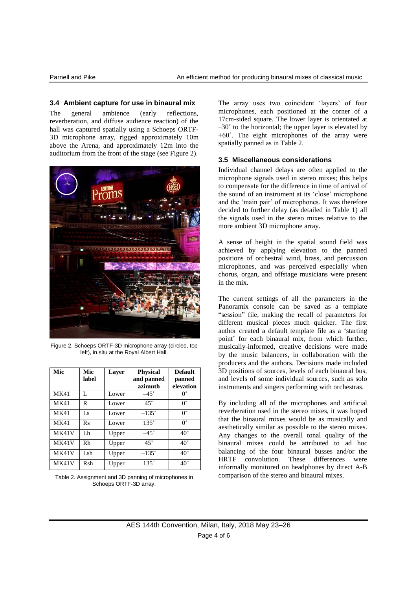#### **3.4 Ambient capture for use in binaural mix**

The general ambience (early reflections, reverberation, and diffuse audience reaction) of the hall was captured spatially using a Schoeps ORTF-3D microphone array, rigged approximately 10m above the Arena, and approximately 12m into the auditorium from the front of the stage (see Figure 2).



Figure 2. Schoeps ORTF-3D microphone array (circled, top left), in situ at the Royal Albert Hall.

| Mic         | Mic<br>label | Layer | <b>Physical</b><br>and panned<br>azimuth | <b>Default</b><br>panned<br>elevation |
|-------------|--------------|-------|------------------------------------------|---------------------------------------|
| <b>MK41</b> | L            | Lower | $-45^\circ$                              | $0^{\circ}$                           |
| MK41        | R            | Lower | $45^{\circ}$                             | $0^{\circ}$                           |
| <b>MK41</b> | Ls           | Lower | $-135^\circ$                             | $0^{\circ}$                           |
| <b>MK41</b> | Rs           | Lower | $135^\circ$                              | $0^{\circ}$                           |
| MK41V       | Lh           | Upper | $-45^\circ$                              | $40^{\circ}$                          |
| MK41V       | Rh           | Upper | $45^{\circ}$                             | $40^{\circ}$                          |
| MK41V       | Lsh          | Upper | $-135^\circ$                             | $40^{\circ}$                          |
| MK41V       | Rsh          | Upper | $135^\circ$                              | $40^{\circ}$                          |

Table 2. Assignment and 3D panning of microphones in Schoeps ORTF-3D array.

The array uses two coincident 'layers' of four microphones, each positioned at the corner of a 17cm-sided square. The lower layer is orientated at  $-30^\circ$  to the horizontal; the upper layer is elevated by  $+60^\circ$ . The eight microphones of the array were spatially panned as in Table 2.

#### **3.5 Miscellaneous considerations**

Individual channel delays are often applied to the microphone signals used in stereo mixes; this helps to compensate for the difference in time of arrival of the sound of an instrument at its 'close' microphone and the 'main pair' of microphones. It was therefore decided to further delay (as detailed in Table 1) all the signals used in the stereo mixes relative to the more ambient 3D microphone array.

A sense of height in the spatial sound field was achieved by applying elevation to the panned positions of orchestral wind, brass, and percussion microphones, and was perceived especially when chorus, organ, and offstage musicians were present in the mix.

The current settings of all the parameters in the Panoramix console can be saved as a template "session" file, making the recall of parameters for different musical pieces much quicker. The first author created a default template file as a 'starting point' for each binaural mix, from which further, musically-informed, creative decisions were made by the music balancers, in collaboration with the producers and the authors. Decisions made included 3D positions of sources, levels of each binaural bus, and levels of some individual sources, such as solo instruments and singers performing with orchestras.

By including all of the microphones and artificial reverberation used in the stereo mixes, it was hoped that the binaural mixes would be as musically and aesthetically similar as possible to the stereo mixes. Any changes to the overall tonal quality of the binaural mixes could be attributed to ad hoc balancing of the four binaural busses and/or the HRTF convolution. These differences were informally monitored on headphones by direct A-B comparison of the stereo and binaural mixes.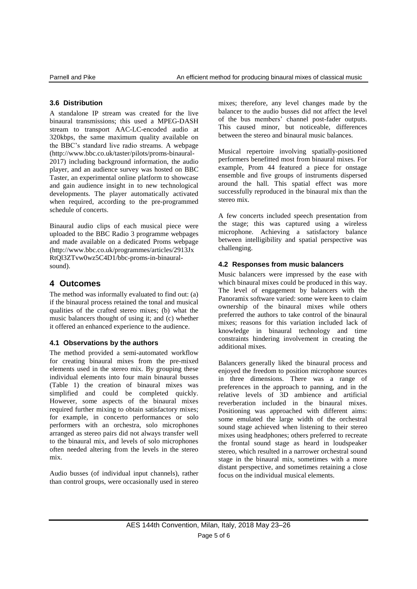#### **3.6 Distribution**

A standalone IP stream was created for the live binaural transmissions; this used a MPEG-DASH stream to transport AAC-LC-encoded audio at 320kbps, the same maximum quality available on the BBC's standard live radio streams. A webpage (http://www.bbc.co.uk/taster/pilots/proms-binaural-2017) including background information, the audio player, and an audience survey was hosted on BBC Taster, an experimental online platform to showcase and gain audience insight in to new technological developments. The player automatically activated when required, according to the pre-programmed schedule of concerts.

Binaural audio clips of each musical piece were uploaded to the BBC Radio 3 programme webpages and made available on a dedicated Proms webpage (http://www.bbc.co.uk/programmes/articles/2913Jx RtQl3ZTvw0wz5C4D1/bbc-proms-in-binauralsound).

# **4 Outcomes**

The method was informally evaluated to find out: (a) if the binaural process retained the tonal and musical qualities of the crafted stereo mixes; (b) what the music balancers thought of using it; and (c) whether it offered an enhanced experience to the audience.

## **4.1 Observations by the authors**

The method provided a semi-automated workflow for creating binaural mixes from the pre-mixed elements used in the stereo mix. By grouping these individual elements into four main binaural busses (Table 1) the creation of binaural mixes was simplified and could be completed quickly. However, some aspects of the binaural mixes required further mixing to obtain satisfactory mixes; for example, in concerto performances or solo performers with an orchestra, solo microphones arranged as stereo pairs did not always transfer well to the binaural mix, and levels of solo microphones often needed altering from the levels in the stereo mix.

Audio busses (of individual input channels), rather than control groups, were occasionally used in stereo mixes; therefore, any level changes made by the balancer to the audio busses did not affect the level of the bus members' channel post-fader outputs. This caused minor, but noticeable, differences between the stereo and binaural music balances.

Musical repertoire involving spatially-positioned performers benefitted most from binaural mixes. For example, Prom 44 featured a piece for onstage ensemble and five groups of instruments dispersed around the hall. This spatial effect was more successfully reproduced in the binaural mix than the stereo mix.

A few concerts included speech presentation from the stage; this was captured using a wireless microphone. Achieving a satisfactory balance between intelligibility and spatial perspective was challenging.

#### **4.2 Responses from music balancers**

Music balancers were impressed by the ease with which binaural mixes could be produced in this way. The level of engagement by balancers with the Panoramix software varied: some were keen to claim ownership of the binaural mixes while others preferred the authors to take control of the binaural mixes; reasons for this variation included lack of knowledge in binaural technology and time constraints hindering involvement in creating the additional mixes.

Balancers generally liked the binaural process and enjoyed the freedom to position microphone sources in three dimensions. There was a range of preferences in the approach to panning, and in the relative levels of 3D ambience and artificial reverberation included in the binaural mixes. Positioning was approached with different aims: some emulated the large width of the orchestral sound stage achieved when listening to their stereo mixes using headphones; others preferred to recreate the frontal sound stage as heard in loudspeaker stereo, which resulted in a narrower orchestral sound stage in the binaural mix, sometimes with a more distant perspective, and sometimes retaining a close focus on the individual musical elements.